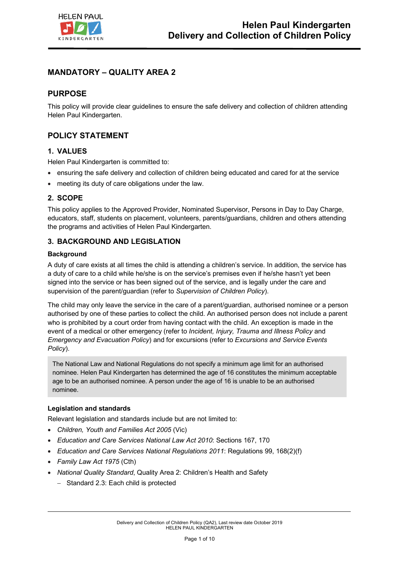

# **MANDATORY – QUALITY AREA 2**

## **PURPOSE**

This policy will provide clear guidelines to ensure the safe delivery and collection of children attending Helen Paul Kindergarten.

## **POLICY STATEMENT**

## **1. VALUES**

Helen Paul Kindergarten is committed to:

- ensuring the safe delivery and collection of children being educated and cared for at the service
- meeting its duty of care obligations under the law.

## **2. SCOPE**

This policy applies to the Approved Provider, Nominated Supervisor, Persons in Day to Day Charge, educators, staff, students on placement, volunteers, parents/guardians, children and others attending the programs and activities of Helen Paul Kindergarten.

## **3. BACKGROUND AND LEGISLATION**

### **Background**

A duty of care exists at all times the child is attending a children's service. In addition, the service has a duty of care to a child while he/she is on the service's premises even if he/she hasn't yet been signed into the service or has been signed out of the service, and is legally under the care and supervision of the parent/guardian (refer to *Supervision of Children Policy*).

The child may only leave the service in the care of a parent/guardian, authorised nominee or a person authorised by one of these parties to collect the child. An authorised person does not include a parent who is prohibited by a court order from having contact with the child. An exception is made in the event of a medical or other emergency (refer to *Incident, Injury, Trauma and Illness Policy* and *Emergency and Evacuation Policy*) and for excursions (refer to *Excursions and Service Events Policy*).

The National Law and National Regulations do not specify a minimum age limit for an authorised nominee. Helen Paul Kindergarten has determined the age of 16 constitutes the minimum acceptable age to be an authorised nominee. A person under the age of 16 is unable to be an authorised nominee.

### **Legislation and standards**

Relevant legislation and standards include but are not limited to:

- *Children, Youth and Families Act 2005* (Vic)
- *Education and Care Services National Law Act 2010*: Sections 167, 170
- *Education and Care Services National Regulations 2011*: Regulations 99, 168(2)(f)
- *Family Law Act 1975* (Cth)
- *National Quality Standard*, Quality Area 2: Children's Health and Safety
	- Standard 2.3: Each child is protected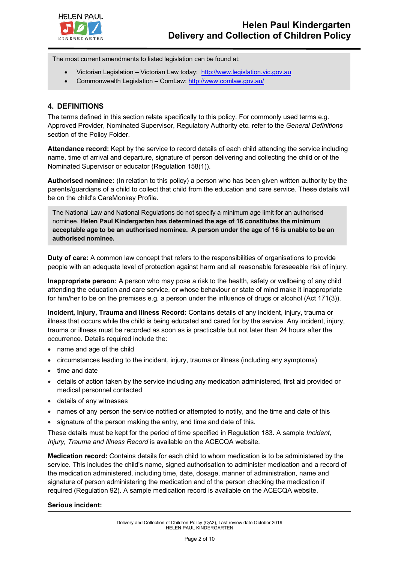

The most current amendments to listed legislation can be found at:

- Victorian Legislation Victorian Law today: http://www.legislation.vic.gov.au
- Commonwealth Legislation ComLaw: http://www.comlaw.gov.au/

## **4. DEFINITIONS**

The terms defined in this section relate specifically to this policy. For commonly used terms e.g. Approved Provider, Nominated Supervisor, Regulatory Authority etc. refer to the *General Definitions* section of the Policy Folder.

**Attendance record:** Kept by the service to record details of each child attending the service including name, time of arrival and departure, signature of person delivering and collecting the child or of the Nominated Supervisor or educator (Regulation 158(1)).

**Authorised nominee:** (In relation to this policy) a person who has been given written authority by the parents/guardians of a child to collect that child from the education and care service. These details will be on the child's CareMonkey Profile.

The National Law and National Regulations do not specify a minimum age limit for an authorised nominee. **Helen Paul Kindergarten has determined the age of 16 constitutes the minimum acceptable age to be an authorised nominee. A person under the age of 16 is unable to be an authorised nominee.**

**Duty of care:** A common law concept that refers to the responsibilities of organisations to provide people with an adequate level of protection against harm and all reasonable foreseeable risk of injury.

**Inappropriate person:** A person who may pose a risk to the health, safety or wellbeing of any child attending the education and care service, or whose behaviour or state of mind make it inappropriate for him/her to be on the premises e.g. a person under the influence of drugs or alcohol (Act 171(3)).

**Incident, Injury, Trauma and Illness Record:** Contains details of any incident, injury, trauma or illness that occurs while the child is being educated and cared for by the service. Any incident, injury, trauma or illness must be recorded as soon as is practicable but not later than 24 hours after the occurrence. Details required include the:

- name and age of the child
- circumstances leading to the incident, injury, trauma or illness (including any symptoms)
- time and date
- details of action taken by the service including any medication administered, first aid provided or medical personnel contacted
- details of any witnesses
- names of any person the service notified or attempted to notify, and the time and date of this
- signature of the person making the entry, and time and date of this.

These details must be kept for the period of time specified in Regulation 183. A sample *Incident, Injury, Trauma and Illness Record* is available on the ACECQA website.

**Medication record:** Contains details for each child to whom medication is to be administered by the service. This includes the child's name, signed authorisation to administer medication and a record of the medication administered, including time, date, dosage, manner of administration, name and signature of person administering the medication and of the person checking the medication if required (Regulation 92). A sample medication record is available on the ACECQA website.

### **Serious incident:**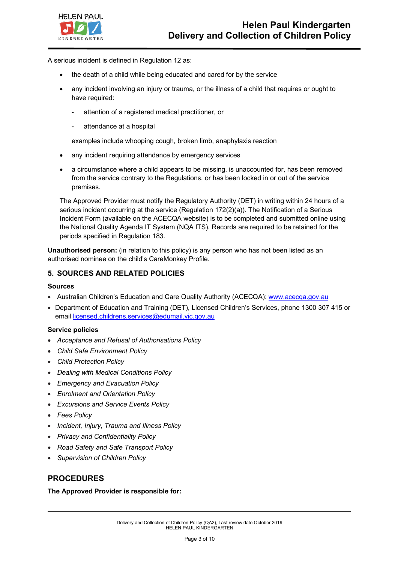

A serious incident is defined in Regulation 12 as:

- the death of a child while being educated and cared for by the service
- any incident involving an injury or trauma, or the illness of a child that requires or ought to have required:
	- attention of a registered medical practitioner, or
	- attendance at a hospital

examples include whooping cough, broken limb, anaphylaxis reaction

- any incident requiring attendance by emergency services
- a circumstance where a child appears to be missing, is unaccounted for, has been removed from the service contrary to the Regulations, or has been locked in or out of the service premises.

The Approved Provider must notify the Regulatory Authority (DET) in writing within 24 hours of a serious incident occurring at the service (Regulation 172(2)(a)). The Notification of a Serious Incident Form (available on the ACECQA website) is to be completed and submitted online using the National Quality Agenda IT System (NQA ITS). Records are required to be retained for the periods specified in Regulation 183.

**Unauthorised person:** (in relation to this policy) is any person who has not been listed as an authorised nominee on the child's CareMonkey Profile.

### **5. SOURCES AND RELATED POLICIES**

#### **Sources**

- Australian Children's Education and Care Quality Authority (ACECQA): www.acecqa.gov.au
- Department of Education and Training (DET), Licensed Children's Services, phone 1300 307 415 or email licensed.childrens.services@edumail.vic.gov.au

#### **Service policies**

- *Acceptance and Refusal of Authorisations Policy*
- *Child Safe Environment Policy*
- *Child Protection Policy*
- *Dealing with Medical Conditions Policy*
- *Emergency and Evacuation Policy*
- *Enrolment and Orientation Policy*
- *Excursions and Service Events Policy*
- *Fees Policy*
- *Incident, Injury, Trauma and Illness Policy*
- *Privacy and Confidentiality Policy*
- *Road Safety and Safe Transport Policy*
- *Supervision of Children Policy*

## **PROCEDURES**

**The Approved Provider is responsible for:**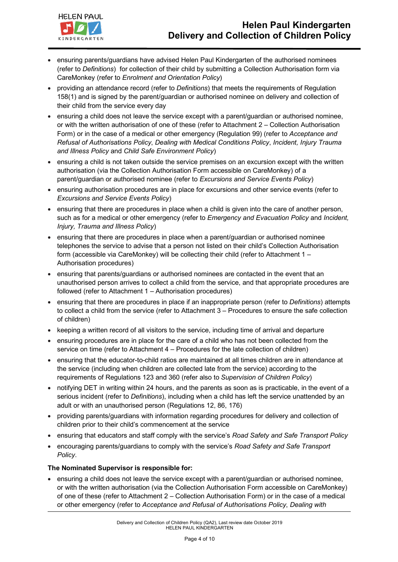

- ensuring parents/guardians have advised Helen Paul Kindergarten of the authorised nominees (refer to *Definitions*) for collection of their child by submitting a Collection Authorisation form via CareMonkey (refer to *Enrolment and Orientation Policy*)
- providing an attendance record (refer to *Definitions*) that meets the requirements of Regulation 158(1) and is signed by the parent/guardian or authorised nominee on delivery and collection of their child from the service every day
- ensuring a child does not leave the service except with a parent/guardian or authorised nominee, or with the written authorisation of one of these (refer to Attachment 2 – Collection Authorisation Form) or in the case of a medical or other emergency (Regulation 99) (refer to *Acceptance and Refusal of Authorisations Policy*, *Dealing with Medical Conditions Policy*, *Incident, Injury Trauma and Illness Policy* and *Child Safe Environment Policy*)
- ensuring a child is not taken outside the service premises on an excursion except with the written authorisation (via the Collection Authorisation Form accessible on CareMonkey) of a parent/guardian or authorised nominee (refer to *Excursions and Service Events Policy*)
- ensuring authorisation procedures are in place for excursions and other service events (refer to *Excursions and Service Events Policy*)
- ensuring that there are procedures in place when a child is given into the care of another person, such as for a medical or other emergency (refer to *Emergency and Evacuation Policy* and *Incident, Injury, Trauma and Illness Policy*)
- ensuring that there are procedures in place when a parent/guardian or authorised nominee telephones the service to advise that a person not listed on their child's Collection Authorisation form (accessible via CareMonkey) will be collecting their child (refer to Attachment 1 – Authorisation procedures)
- ensuring that parents/guardians or authorised nominees are contacted in the event that an unauthorised person arrives to collect a child from the service, and that appropriate procedures are followed (refer to Attachment 1 – Authorisation procedures)
- ensuring that there are procedures in place if an inappropriate person (refer to *Definitions*) attempts to collect a child from the service (refer to Attachment 3 – Procedures to ensure the safe collection of children)
- keeping a written record of all visitors to the service, including time of arrival and departure
- ensuring procedures are in place for the care of a child who has not been collected from the service on time (refer to Attachment 4 – Procedures for the late collection of children)
- ensuring that the educator-to-child ratios are maintained at all times children are in attendance at the service (including when children are collected late from the service) according to the requirements of Regulations 123 and 360 (refer also to *Supervision of Children Policy*)
- notifying DET in writing within 24 hours, and the parents as soon as is practicable, in the event of a serious incident (refer to *Definitions*), including when a child has left the service unattended by an adult or with an unauthorised person (Regulations 12, 86, 176)
- providing parents/guardians with information regarding procedures for delivery and collection of children prior to their child's commencement at the service
- ensuring that educators and staff comply with the service's *Road Safety and Safe Transport Policy*
- encouraging parents/guardians to comply with the service's *Road Safety and Safe Transport Policy*.

## **The Nominated Supervisor is responsible for:**

• ensuring a child does not leave the service except with a parent/guardian or authorised nominee, or with the written authorisation (via the Collection Authorisation Form accessible on CareMonkey) of one of these (refer to Attachment 2 – Collection Authorisation Form) or in the case of a medical or other emergency (refer to *Acceptance and Refusal of Authorisations Policy*, *Dealing with*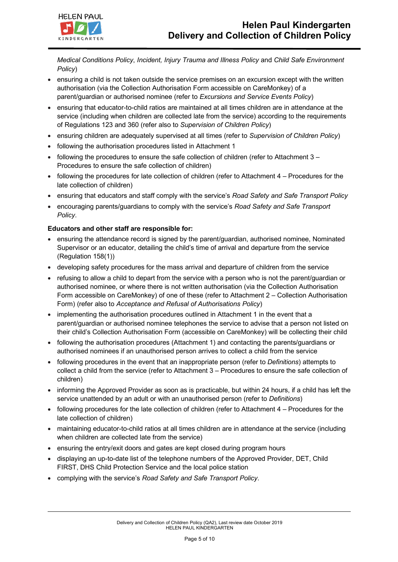*Medical Conditions Policy*, *Incident, Injury Trauma and Illness Policy* and *Child Safe Environment Policy*)

- ensuring a child is not taken outside the service premises on an excursion except with the written authorisation (via the Collection Authorisation Form accessible on CareMonkey) of a parent/guardian or authorised nominee (refer to *Excursions and Service Events Policy*)
- ensuring that educator-to-child ratios are maintained at all times children are in attendance at the service (including when children are collected late from the service) according to the requirements of Regulations 123 and 360 (refer also to *Supervision of Children Policy*)
- ensuring children are adequately supervised at all times (refer to *Supervision of Children Policy*)
- following the authorisation procedures listed in Attachment 1
- following the procedures to ensure the safe collection of children (refer to Attachment 3 Procedures to ensure the safe collection of children)
- following the procedures for late collection of children (refer to Attachment 4 Procedures for the late collection of children)
- ensuring that educators and staff comply with the service's *Road Safety and Safe Transport Policy*
- encouraging parents/guardians to comply with the service's *Road Safety and Safe Transport Policy*.

### **Educators and other staff are responsible for:**

- ensuring the attendance record is signed by the parent/guardian, authorised nominee, Nominated Supervisor or an educator, detailing the child's time of arrival and departure from the service (Regulation 158(1))
- developing safety procedures for the mass arrival and departure of children from the service
- refusing to allow a child to depart from the service with a person who is not the parent/guardian or authorised nominee, or where there is not written authorisation (via the Collection Authorisation Form accessible on CareMonkey) of one of these (refer to Attachment 2 – Collection Authorisation Form) (refer also to *Acceptance and Refusal of Authorisations Policy*)
- implementing the authorisation procedures outlined in Attachment 1 in the event that a parent/guardian or authorised nominee telephones the service to advise that a person not listed on their child's Collection Authorisation Form (accessible on CareMonkey) will be collecting their child
- following the authorisation procedures (Attachment 1) and contacting the parents/guardians or authorised nominees if an unauthorised person arrives to collect a child from the service
- following procedures in the event that an inappropriate person (refer to *Definitions*) attempts to collect a child from the service (refer to Attachment 3 – Procedures to ensure the safe collection of children)
- informing the Approved Provider as soon as is practicable, but within 24 hours, if a child has left the service unattended by an adult or with an unauthorised person (refer to *Definitions*)
- following procedures for the late collection of children (refer to Attachment 4 Procedures for the late collection of children)
- maintaining educator-to-child ratios at all times children are in attendance at the service (including when children are collected late from the service)
- ensuring the entry/exit doors and gates are kept closed during program hours
- displaying an up-to-date list of the telephone numbers of the Approved Provider, DET, Child FIRST, DHS Child Protection Service and the local police station
- complying with the service's *Road Safety and Safe Transport Policy*.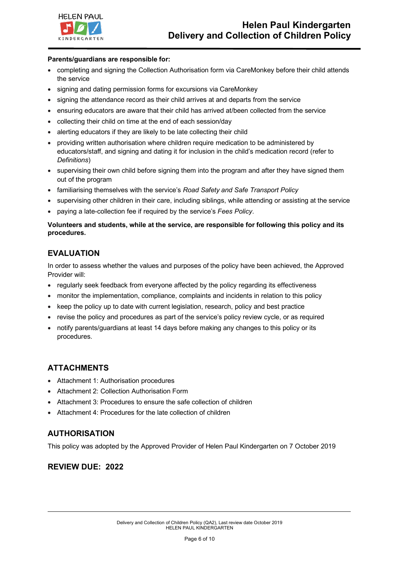

#### **Parents/guardians are responsible for:**

- completing and signing the Collection Authorisation form via CareMonkey before their child attends the service
- signing and dating permission forms for excursions via CareMonkey
- signing the attendance record as their child arrives at and departs from the service
- ensuring educators are aware that their child has arrived at/been collected from the service
- collecting their child on time at the end of each session/day
- alerting educators if they are likely to be late collecting their child
- providing written authorisation where children require medication to be administered by educators/staff, and signing and dating it for inclusion in the child's medication record (refer to *Definitions*)
- supervising their own child before signing them into the program and after they have signed them out of the program
- familiarising themselves with the service's *Road Safety and Safe Transport Policy*
- supervising other children in their care, including siblings, while attending or assisting at the service
- paying a late-collection fee if required by the service's *Fees Policy*.

### **Volunteers and students, while at the service, are responsible for following this policy and its procedures.**

## **EVALUATION**

In order to assess whether the values and purposes of the policy have been achieved, the Approved Provider will:

- regularly seek feedback from everyone affected by the policy regarding its effectiveness
- monitor the implementation, compliance, complaints and incidents in relation to this policy
- keep the policy up to date with current legislation, research, policy and best practice
- revise the policy and procedures as part of the service's policy review cycle, or as required
- notify parents/guardians at least 14 days before making any changes to this policy or its procedures.

## **ATTACHMENTS**

- Attachment 1: Authorisation procedures
- Attachment 2: Collection Authorisation Form
- Attachment 3: Procedures to ensure the safe collection of children
- Attachment 4: Procedures for the late collection of children

## **AUTHORISATION**

This policy was adopted by the Approved Provider of Helen Paul Kindergarten on 7 October 2019

## **REVIEW DUE: 2022**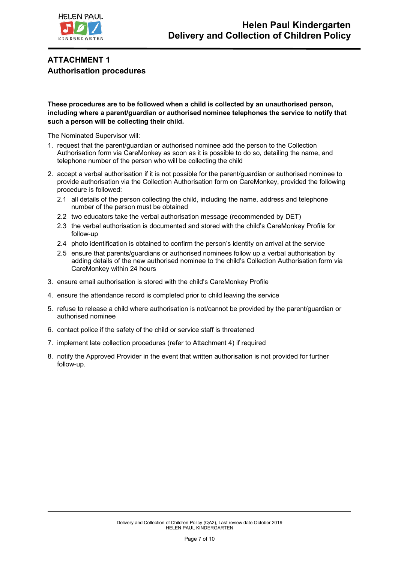

# **ATTACHMENT 1 Authorisation procedures**

**These procedures are to be followed when a child is collected by an unauthorised person, including where a parent/guardian or authorised nominee telephones the service to notify that such a person will be collecting their child.**

The Nominated Supervisor will:

- 1. request that the parent/guardian or authorised nominee add the person to the Collection Authorisation form via CareMonkey as soon as it is possible to do so, detailing the name, and telephone number of the person who will be collecting the child
- 2. accept a verbal authorisation if it is not possible for the parent/guardian or authorised nominee to provide authorisation via the Collection Authorisation form on CareMonkey, provided the following procedure is followed:
	- 2.1 all details of the person collecting the child, including the name, address and telephone number of the person must be obtained
	- 2.2 two educators take the verbal authorisation message (recommended by DET)
	- 2.3 the verbal authorisation is documented and stored with the child's CareMonkey Profile for follow-up
	- 2.4 photo identification is obtained to confirm the person's identity on arrival at the service
	- 2.5 ensure that parents/guardians or authorised nominees follow up a verbal authorisation by adding details of the new authorised nominee to the child's Collection Authorisation form via CareMonkey within 24 hours
- 3. ensure email authorisation is stored with the child's CareMonkey Profile
- 4. ensure the attendance record is completed prior to child leaving the service
- 5. refuse to release a child where authorisation is not/cannot be provided by the parent/guardian or authorised nominee
- 6. contact police if the safety of the child or service staff is threatened
- 7. implement late collection procedures (refer to Attachment 4) if required
- 8. notify the Approved Provider in the event that written authorisation is not provided for further follow-up.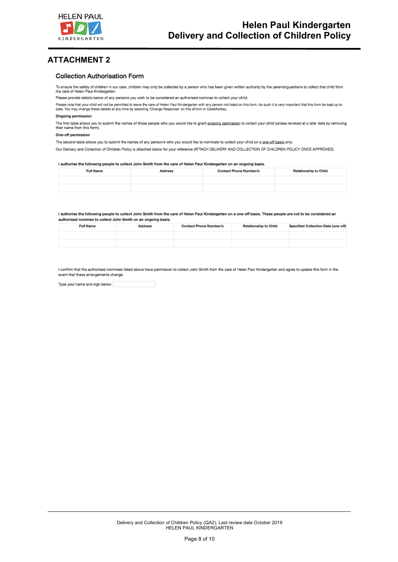

## **ATTACHMENT 2**

#### **Collection Authorisation Form**

To ensure the safety of children in our care, children may only be collected by a person who has been given written authority by the parents/guardians to collect that child from the care of Helen Paul Kindergarten.

Please provide details below of any persons you wish to be considered an authorised nominee to collect your child.

Please note that your child will not be permitted to leave the care of Helen Paul Kindergarten with any person not listed on this form. As such it is very important that this form be kept up to<br>date. You may change these d

#### **Ongoing permission**

The first table allows you to submit the names of those people who you would like to grant ongoing permission to collect your child (unless revoked at a later date by removing the irst table allows you't

#### One-off permission

The second table allows you to submit the names of any person/s who you would like to nominate to collect your child on a one-off basis only.

Our Delivery and Collection of Children Policy is attached below for your reference (ATTACH DELIVERY AND COLLECTION OF CHILDREN POLICY ONCE APPROVED)

#### I authorise the following people to collect John Smith from the care of Helen Paul Kindergarten on an ongoing basis.

| <b>Full Name</b> | <b>Address</b> | <b>Contact Phone Number/s</b> | <b>Relationship to Child</b> |
|------------------|----------------|-------------------------------|------------------------------|
|                  |                |                               |                              |
|                  |                |                               |                              |

#### I authorise the following people to collect John Smith from the care of Helen Paul Kindergarten on a one-off basis. These people are not to be considered an authorised nominee to collect John Smith on an ongoing basis.

| <b>Full Name</b> | <b>Address</b> | <b>Contact Phone Number/s</b> | <b>Relationship to Child</b> | Specified Collection Date (one-off) |
|------------------|----------------|-------------------------------|------------------------------|-------------------------------------|
|                  |                |                               |                              |                                     |
|                  |                |                               |                              |                                     |

I confirm that the authorised nominees listed above have permission to collect John Smith from the care of Helen Paul Kindergarten and agree to update this form in the event that these arrangements change.

Type your name and sign below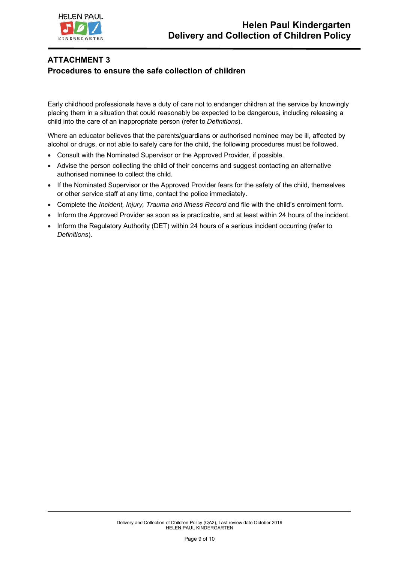

# **ATTACHMENT 3 Procedures to ensure the safe collection of children**

Early childhood professionals have a duty of care not to endanger children at the service by knowingly placing them in a situation that could reasonably be expected to be dangerous, including releasing a child into the care of an inappropriate person (refer to *Definitions*).

Where an educator believes that the parents/guardians or authorised nominee may be ill, affected by alcohol or drugs, or not able to safely care for the child, the following procedures must be followed.

- Consult with the Nominated Supervisor or the Approved Provider, if possible.
- Advise the person collecting the child of their concerns and suggest contacting an alternative authorised nominee to collect the child.
- If the Nominated Supervisor or the Approved Provider fears for the safety of the child, themselves or other service staff at any time, contact the police immediately.
- Complete the *Incident, Injury, Trauma and Illness Record* and file with the child's enrolment form.
- Inform the Approved Provider as soon as is practicable, and at least within 24 hours of the incident.
- Inform the Regulatory Authority (DET) within 24 hours of a serious incident occurring (refer to *Definitions*).